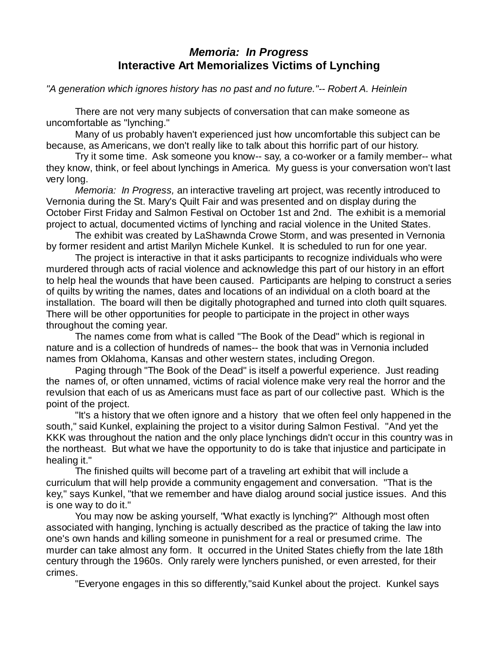## *Memoria: In Progress* **Interactive Art Memorializes Victims of Lynching**

*"A generation which ignores history has no past and no future."-- Robert A. Heinlein*

There are not very many subjects of conversation that can make someone as uncomfortable as "lynching."

Many of us probably haven't experienced just how uncomfortable this subject can be because, as Americans, we don't really like to talk about this horrific part of our history.

Try it some time. Ask someone you know-- say, a co-worker or a family member-- what they know, think, or feel about lynchings in America. My guess is your conversation won't last very long.

*Memoria: In Progress,* an interactive traveling art project, was recently introduced to Vernonia during the St. Mary's Quilt Fair and was presented and on display during the October First Friday and Salmon Festival on October 1st and 2nd. The exhibit is a memorial project to actual, documented victims of lynching and racial violence in the United States.

The exhibit was created by LaShawnda Crowe Storm, and was presented in Vernonia by former resident and artist Marilyn Michele Kunkel. It is scheduled to run for one year.

The project is interactive in that it asks participants to recognize individuals who were murdered through acts of racial violence and acknowledge this part of our history in an effort to help heal the wounds that have been caused. Participants are helping to construct a series of quilts by writing the names, dates and locations of an individual on a cloth board at the installation. The board will then be digitally photographed and turned into cloth quilt squares. There will be other opportunities for people to participate in the project in other ways throughout the coming year.

The names come from what is called "The Book of the Dead" which is regional in nature and is a collection of hundreds of names-- the book that was in Vernonia included names from Oklahoma, Kansas and other western states, including Oregon.

Paging through "The Book of the Dead" is itself a powerful experience. Just reading the names of, or often unnamed, victims of racial violence make very real the horror and the revulsion that each of us as Americans must face as part of our collective past. Which is the point of the project.

"It's a history that we often ignore and a history that we often feel only happened in the south," said Kunkel, explaining the project to a visitor during Salmon Festival. "And yet the KKK was throughout the nation and the only place lynchings didn't occur in this country was in the northeast. But what we have the opportunity to do is take that injustice and participate in healing it."

The finished quilts will become part of a traveling art exhibit that will include a curriculum that will help provide a community engagement and conversation. "That is the key," says Kunkel, "that we remember and have dialog around social justice issues. And this is one way to do it."

You may now be asking yourself, "What exactly is lynching?" Although most often associated with hanging, lynching is actually described as the practice of taking the law into one's own hands and killing someone in punishment for a real or presumed crime. The murder can take almost any form. It occurred in the United States chiefly from the late 18th century through the 1960s. Only rarely were lynchers punished, or even arrested, for their crimes.

"Everyone engages in this so differently,"said Kunkel about the project. Kunkel says